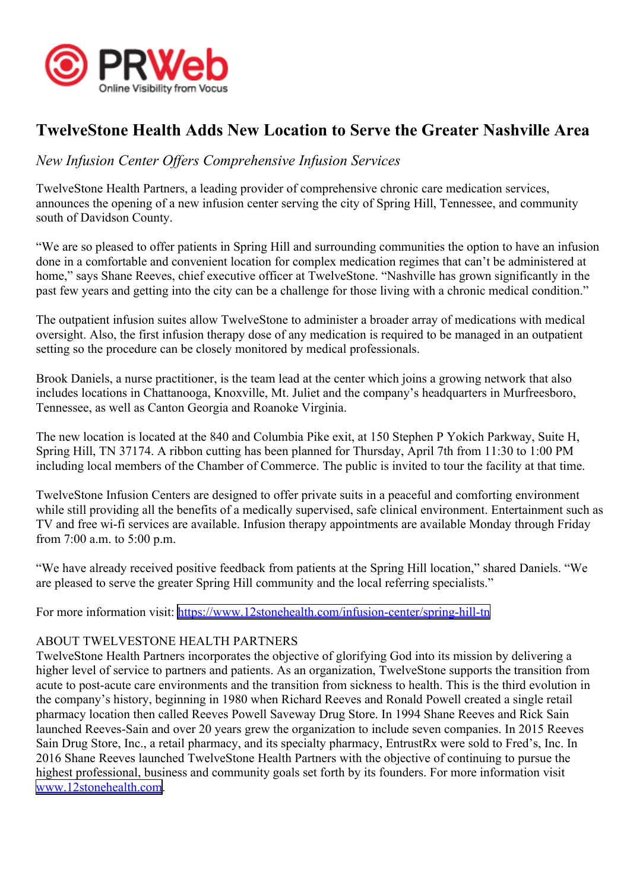

## **TwelveStone Health Adds New Location to Serve the Greater Nashville Area**

## *New Infusion Center Offers Comprehensive Infusion Services*

TwelveStone Health Partners, <sup>a</sup> leading provider of comprehensive chronic care medication services, announces the opening of <sup>a</sup> new infusion center serving the city of Spring Hill, Tennessee, and community south of Davidson County.

"We are so pleased to offer patients in Spring Hill and surrounding communities the option to have an infusion done in <sup>a</sup> comfortable and convenient location for complex medication regimes that can't be administered at home," says Shane Reeves, chief executive officer at TwelveStone. "Nashville has grown significantly in the pas<sup>t</sup> few years and getting into the city can be <sup>a</sup> challenge for those living with <sup>a</sup> chronic medical condition."

The outpatient infusion suites allow TwelveStone to administer <sup>a</sup> broader array of medications with medical oversight. Also, the first infusion therapy dose of any medication is required to be managed in an outpatient setting so the procedure can be closely monitored by medical professionals.

Brook Daniels, <sup>a</sup> nurse practitioner, is the team lead at the center which joins <sup>a</sup> growing network that also includes locations in Chattanooga, Knoxville, Mt. Juliet and the company's headquarters in Murfreesboro, Tennessee, as well as Canton Georgia and Roanoke Virginia.

The new location is located at the 840 and Columbia Pike exit, at 150 Stephen P Yokich Parkway, Suite H, Spring Hill, TN 37174. A ribbon cutting has been planned for Thursday, April 7th from 11:30 to 1:00 PM including local members of the Chamber of Commerce. The public is invited to tour the facility at that time.

TwelveStone Infusion Centers are designed to offer private suits in <sup>a</sup> peaceful and comforting environment while still providing all the benefits of a medically supervised, safe clinical environment. Entertainment such as TV and free wi-fi services are available. Infusion therapy appointments are available Monday through Friday from 7:00 a.m. to 5:00 p.m.

"We have already received positive feedback from patients at the Spring Hill location," shared Daniels. "We are pleased to serve the greater Spring Hill community and the local referring specialists."

For more information visit: [https://www.12stonehealth.com/infusion-center/spring-hill-tn](https://www.12stonehealth.com/infusion-center/spring-hill-tn/)

## ABOUT TWELVESTONE HEALTH PARTNERS

TwelveStone Health Partners incorporates the objective of glorifying God into its mission by delivering <sup>a</sup> higher level of service to partners and patients. As an organization, TwelveStone supports the transition from acute to post-acute care environments and the transition from sickness to health. This is the third evolution in the company's history, beginning in 1980 when Richard Reeves and Ronald Powell created <sup>a</sup> single retail pharmacy location then called Reeves Powell Saveway Drug Store. In 1994 Shane Reeves and Rick Sain launched Reeves-Sain and over 20 years grew the organization to include seven companies. In 2015 Reeves Sain Drug Store, Inc., <sup>a</sup> retail pharmacy, and its specialty pharmacy, EntrustRx were sold to Fred's, Inc. In 2016 Shane Reeves launched TwelveStone Health Partners with the objective of continuing to pursue the highest professional, business and community goals set forth by its founders. For more information visit [www.12stonehealth.com](https://www.12stonehealth.com/).